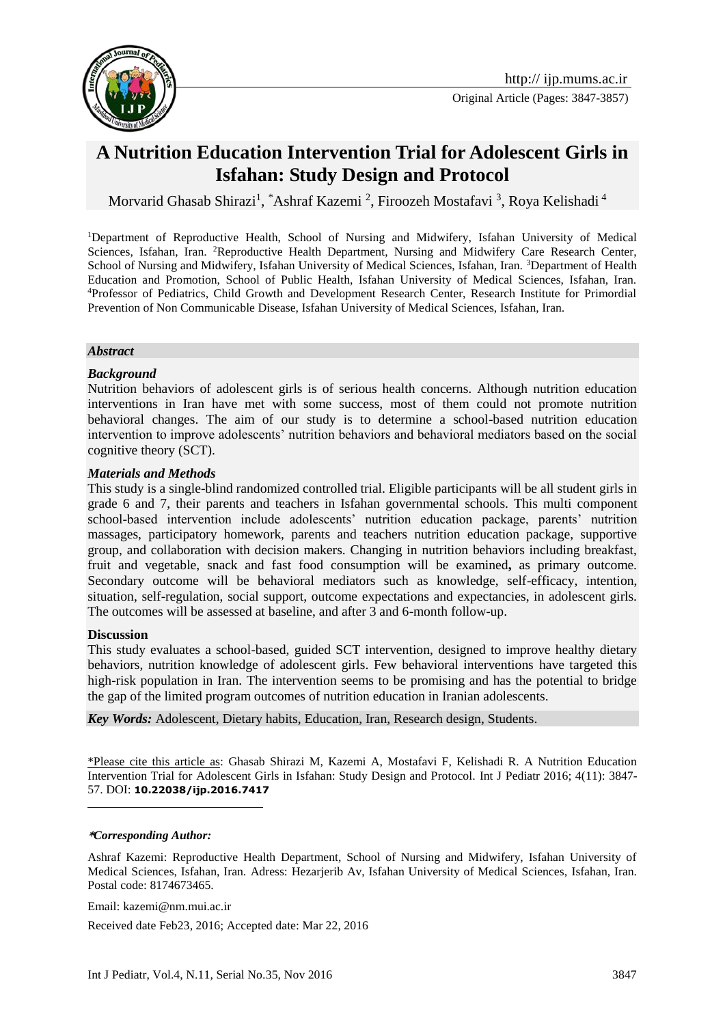

Original Article (Pages: 3847-3857)

# **A Nutrition Education Intervention Trial for Adolescent Girls in Isfahan: Study Design and Protocol**

Morvarid Ghasab Shirazi<sup>1</sup>, \*Ashraf Kazemi <sup>2</sup>, Firoozeh Mostafavi <sup>3</sup>, Roya Kelishadi <sup>4</sup>

<sup>1</sup>Department of Reproductive Health, School of Nursing and Midwifery, Isfahan University of Medical Sciences, Isfahan, Iran. <sup>2</sup>Reproductive Health Department, Nursing and Midwifery Care Research Center, School of Nursing and Midwifery, Isfahan University of Medical Sciences, Isfahan, Iran. 3Department of Health Education and Promotion, School of Public Health, Isfahan University of Medical Sciences, Isfahan, Iran. <sup>4</sup>Professor of Pediatrics, Child Growth and Development Research Center, Research Institute for Primordial Prevention of Non Communicable Disease, Isfahan University of Medical Sciences, Isfahan, Iran.

#### *Abstract*

#### *Background*

Nutrition behaviors of adolescent girls is of serious health concerns. Although nutrition education interventions in Iran have met with some success, most of them could not promote nutrition behavioral changes. The aim of our study is to determine a school-based nutrition education intervention to improve adolescents' nutrition behaviors and behavioral mediators based on the social cognitive theory (SCT).

#### *Materials and Methods*

This study is a single-blind randomized controlled trial. Eligible participants will be all student girls in grade 6 and 7, their parents and teachers in Isfahan governmental schools. This multi component school-based intervention include adolescents' nutrition education package, parents' nutrition massages, participatory homework, parents and teachers nutrition education package, supportive group, and collaboration with decision makers. Changing in nutrition behaviors including breakfast, fruit and vegetable, snack and fast food consumption will be examined**,** as primary outcome. Secondary outcome will be behavioral mediators such as knowledge, self-efficacy, intention, situation, self-regulation, social support, outcome expectations and expectancies, in adolescent girls. The outcomes will be assessed at baseline, and after 3 and 6-month follow-up.

#### **Discussion**

1

This study evaluates a school-based, guided SCT intervention, designed to improve healthy dietary behaviors, nutrition knowledge of adolescent girls. Few behavioral interventions have targeted this high-risk population in Iran. The intervention seems to be promising and has the potential to bridge the gap of the limited program outcomes of nutrition education in Iranian adolescents.

*Key Words:* Adolescent, Dietary habits, Education, Iran, Research design, Students.

\*Please cite this article as: Ghasab Shirazi M, Kazemi A, Mostafavi F, Kelishadi R. A Nutrition Education Intervention Trial for Adolescent Girls in Isfahan: Study Design and Protocol. Int J Pediatr 2016; 4(11): 3847- 57. DOI: **10.22038/ijp.2016.7417**

#### **\****Corresponding Author:*

Ashraf Kazemi: Reproductive Health Department, School of Nursing and Midwifery, Isfahan University of Medical Sciences, Isfahan, Iran. Adress: Hezarjerib Av, Isfahan University of Medical Sciences, Isfahan, Iran. Postal code: 8174673465.

Email: kazemi@nm.mui.ac.ir

Received date Feb23, 2016; Accepted date: Mar 22, 2016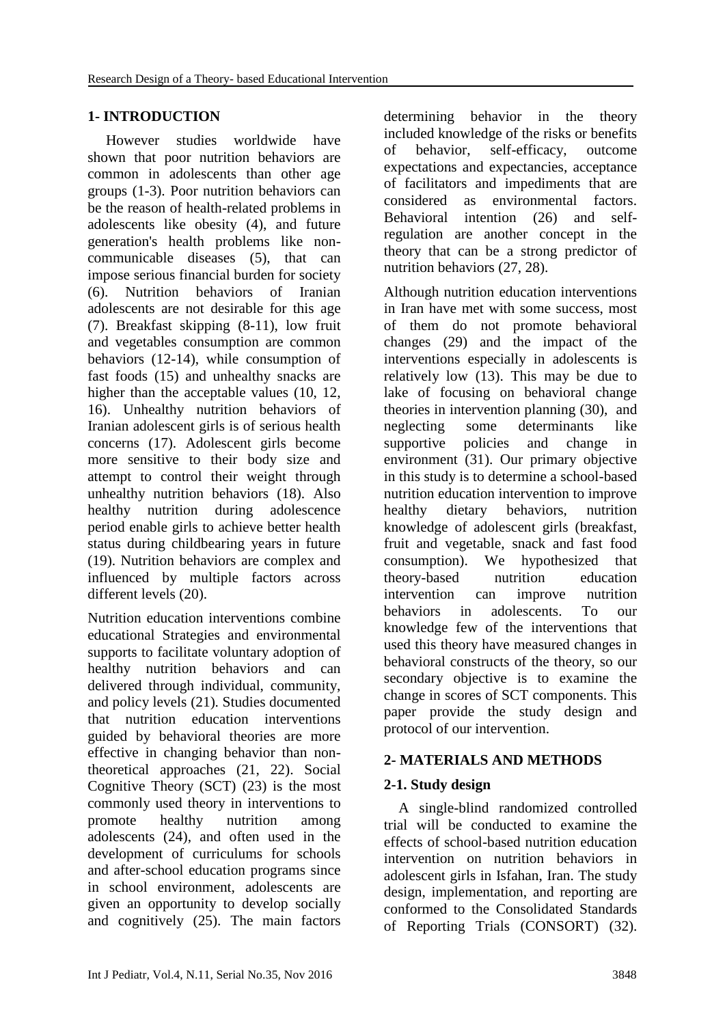### **1- INTRODUCTION**

 However studies worldwide have shown that poor nutrition behaviors are common in adolescents than other age groups (1-3). Poor nutrition behaviors can be the reason of health-related problems in adolescents like obesity (4), and future generation's health problems like noncommunicable diseases (5), that can impose serious financial burden for society (6). Nutrition behaviors of Iranian adolescents are not desirable for this age (7). Breakfast skipping (8-11), low fruit and vegetables consumption are common behaviors (12-14), while consumption of fast foods (15) and unhealthy snacks are higher than the acceptable values (10, 12, 16). Unhealthy nutrition behaviors of Iranian adolescent girls is of serious health concerns (17). Adolescent girls become more sensitive to their body size and attempt to control their weight through unhealthy nutrition behaviors (18). Also healthy nutrition during adolescence period enable girls to achieve better health status during childbearing years in future (19). Nutrition behaviors are complex and influenced by multiple factors across different levels (20).

Nutrition education interventions combine educational Strategies and environmental supports to facilitate voluntary adoption of healthy nutrition behaviors and can delivered through individual, community, and policy levels (21). Studies documented that nutrition education interventions guided by behavioral theories are more effective in changing behavior than nontheoretical approaches (21, 22). Social Cognitive Theory (SCT) (23) is the most commonly used theory in interventions to promote healthy nutrition among adolescents (24), and often used in the development of curriculums for schools and after-school education programs since in school environment, adolescents are given an opportunity to develop socially and cognitively (25). The main factors determining behavior in the theory included knowledge of the risks or benefits of behavior, self-efficacy, outcome expectations and expectancies, acceptance of facilitators and impediments that are considered as environmental factors. Behavioral intention (26) and selfregulation are another concept in the theory that can be a strong predictor of nutrition behaviors (27, 28).

Although nutrition education interventions in Iran have met with some success, most of them do not promote behavioral changes (29) and the impact of the interventions especially in adolescents is relatively low (13). This may be due to lake of focusing on behavioral change theories in intervention planning (30), and neglecting some determinants like supportive policies and change in environment (31). Our primary objective in this study is to determine a school-based nutrition education intervention to improve healthy dietary behaviors, nutrition knowledge of adolescent girls (breakfast, fruit and vegetable, snack and fast food consumption). We hypothesized that theory-based nutrition education intervention can improve nutrition behaviors in adolescents. To our knowledge few of the interventions that used this theory have measured changes in behavioral constructs of the theory, so our secondary objective is to examine the change in scores of SCT components. This paper provide the study design and protocol of our intervention.

### **2- MATERIALS AND METHODS**

### **2-1. Study design**

 A single-blind randomized controlled trial will be conducted to examine the effects of school-based nutrition education intervention on nutrition behaviors in adolescent girls in Isfahan, Iran. The study design, implementation, and reporting are conformed to the Consolidated Standards of Reporting Trials (CONSORT) (32).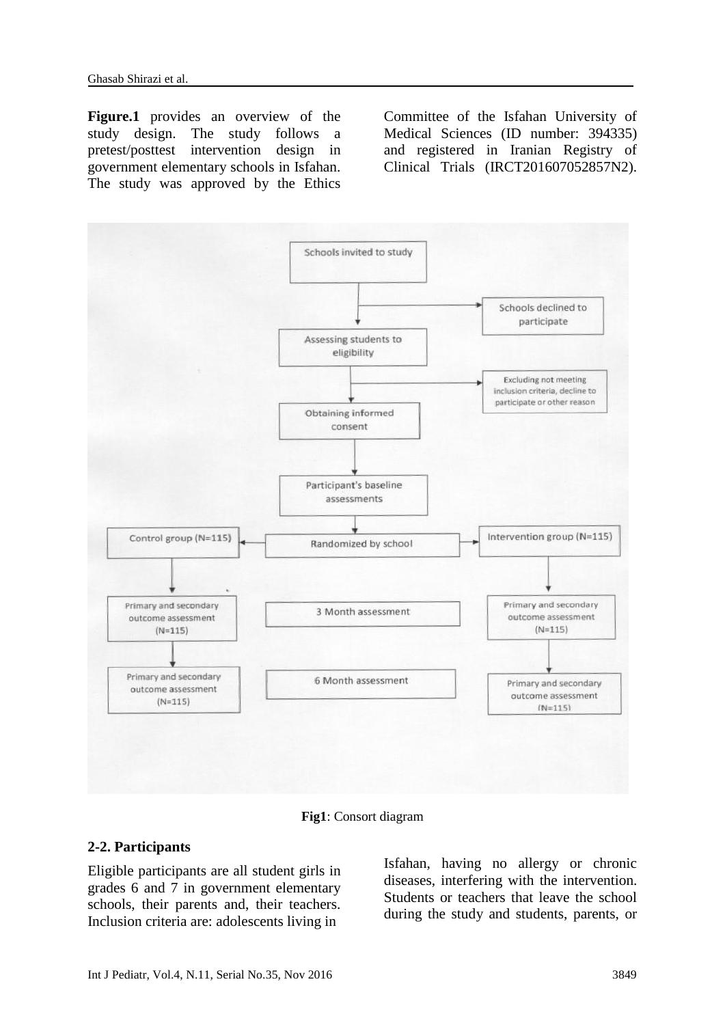**Figure.1** provides an overview of the study design. The study follows a pretest/posttest intervention design in government elementary schools in Isfahan. The study was approved by the Ethics

Committee of the Isfahan University of Medical Sciences (ID number: 394335) and registered in Iranian Registry of Clinical Trials (IRCT201607052857N2).



**Fig1**: Consort diagram

#### **2-2. Participants**

Eligible participants are all student girls in grades 6 and 7 in government elementary schools, their parents and, their teachers. Inclusion criteria are: adolescents living in

Isfahan, having no allergy or chronic diseases, interfering with the intervention. Students or teachers that leave the school during the study and students, parents, or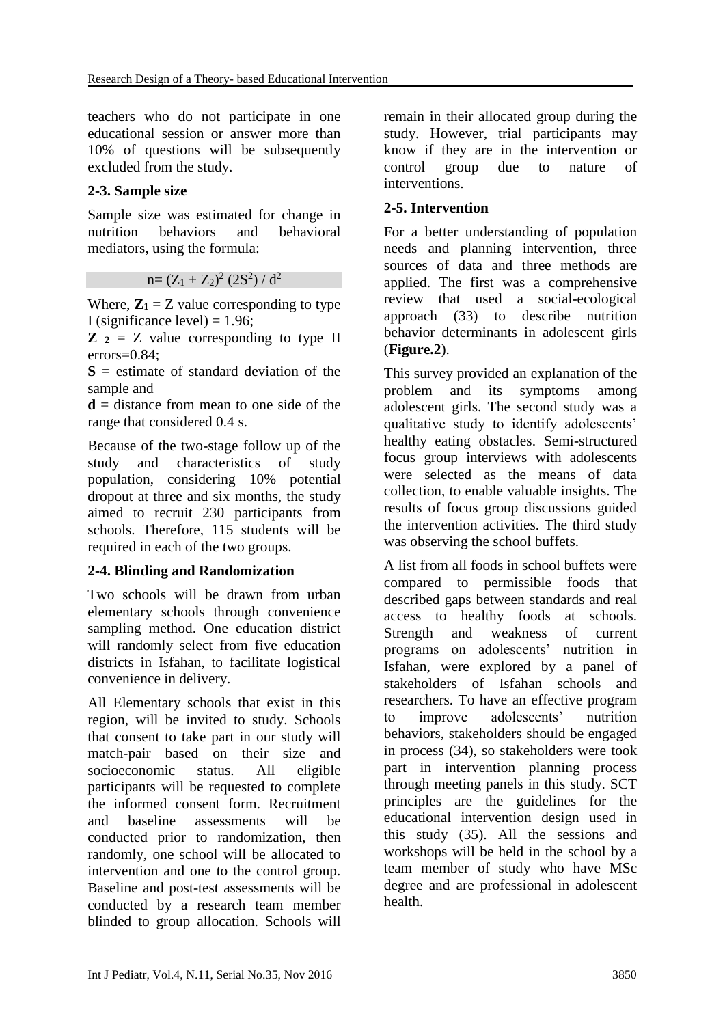teachers who do not participate in one educational session or answer more than 10% of questions will be subsequently excluded from the study.

# **2-3. Sample size**

Sample size was estimated for change in nutrition behaviors and behavioral mediators, using the formula:

 $n=(Z_1+Z_2)^2(2S^2)/d^2$ 

Where,  $\mathbf{Z}_1 = Z$  value corresponding to type I (significance level)  $= 1.96$ ;

 $\mathbf{Z}$  **2** = Z value corresponding to type II errors=0.84;

**S** = estimate of standard deviation of the sample and

**d** = distance from mean to one side of the range that considered 0.4 s.

Because of the two-stage follow up of the study and characteristics of study population, considering 10% potential dropout at three and six months, the study aimed to recruit 230 participants from schools. Therefore, 115 students will be required in each of the two groups.

### **2-4. Blinding and Randomization**

Two schools will be drawn from urban elementary schools through convenience sampling method. One education district will randomly select from five education districts in Isfahan, to facilitate logistical convenience in delivery.

All Elementary schools that exist in this region, will be invited to study. Schools that consent to take part in our study will match-pair based on their size and socioeconomic status. All eligible participants will be requested to complete the informed consent form. Recruitment and baseline assessments will be conducted prior to randomization, then randomly, one school will be allocated to intervention and one to the control group. Baseline and post-test assessments will be conducted by a research team member blinded to group allocation. Schools will remain in their allocated group during the study. However, trial participants may know if they are in the intervention or control group due to nature of interventions.

# **2-5. Intervention**

For a better understanding of population needs and planning intervention, three sources of data and three methods are applied. The first was a comprehensive review that used a social-ecological approach (33) to describe nutrition behavior determinants in adolescent girls (**Figure.2**).

This survey provided an explanation of the problem and its symptoms among adolescent girls. The second study was a qualitative study to identify adolescents' healthy eating obstacles. Semi-structured focus group interviews with adolescents were selected as the means of data collection, to enable valuable insights. The results of focus group discussions guided the intervention activities. The third study was observing the school buffets.

A list from all foods in school buffets were compared to permissible foods that described gaps between standards and real access to healthy foods at schools. Strength and weakness of current programs on adolescents' nutrition in Isfahan, were explored by a panel of stakeholders of Isfahan schools and researchers. To have an effective program to improve adolescents' nutrition behaviors, stakeholders should be engaged in process (34), so stakeholders were took part in intervention planning process through meeting panels in this study. SCT principles are the guidelines for the educational intervention design used in this study (35). All the sessions and workshops will be held in the school by a team member of study who have MSc degree and are professional in adolescent health.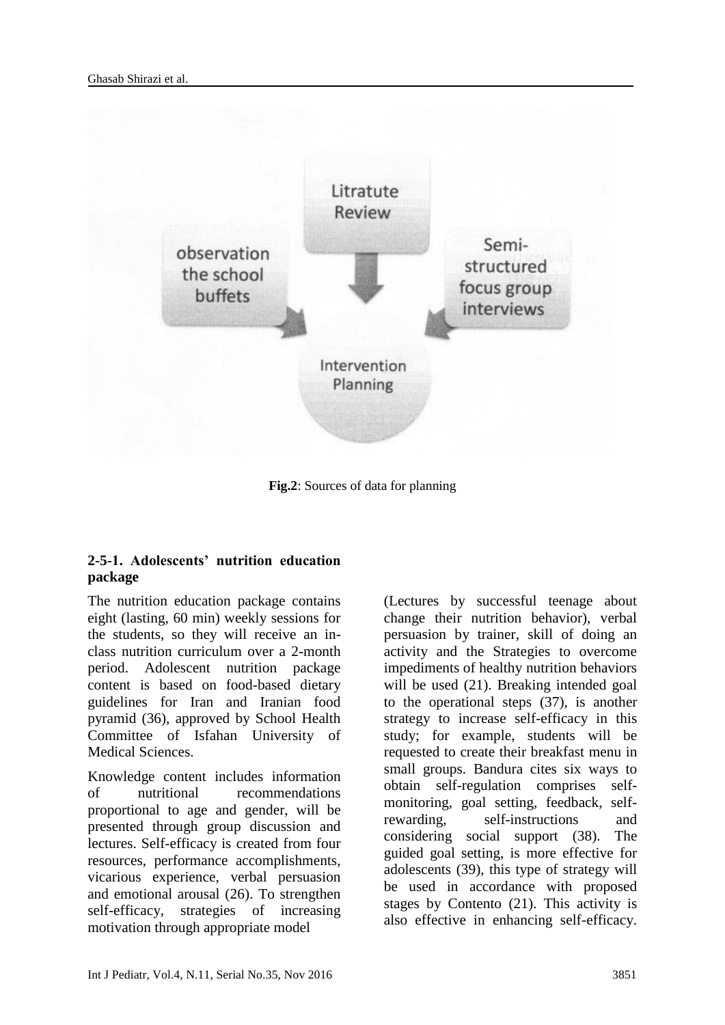

**Fig.2**: Sources of data for planning

# **2-5-1. Adolescents' nutrition education package**

The nutrition education package contains eight (lasting, 60 min) weekly sessions for the students, so they will receive an inclass nutrition curriculum over a 2-month period. Adolescent nutrition package content is based on food-based dietary guidelines for Iran and Iranian food pyramid (36), approved by School Health Committee of Isfahan University of Medical Sciences.

Knowledge content includes information of nutritional recommendations proportional to age and gender, will be presented through group discussion and lectures. Self-efficacy is created from four resources, performance accomplishments, vicarious experience, verbal persuasion and emotional arousal (26). To strengthen self-efficacy, strategies of increasing motivation through appropriate model

(Lectures by successful teenage about change their nutrition behavior), verbal persuasion by trainer, skill of doing an activity and the Strategies to overcome impediments of healthy nutrition behaviors will be used (21). Breaking intended goal to the operational steps (37), is another strategy to increase self-efficacy in this study; for example, students will be requested to create their breakfast menu in small groups. Bandura cites six ways to obtain self-regulation comprises selfmonitoring, goal setting, feedback, selfrewarding, self-instructions and considering social support (38). The guided goal setting, is more effective for adolescents (39), this type of strategy will be used in accordance with proposed stages by Contento (21). This activity is also effective in enhancing self-efficacy.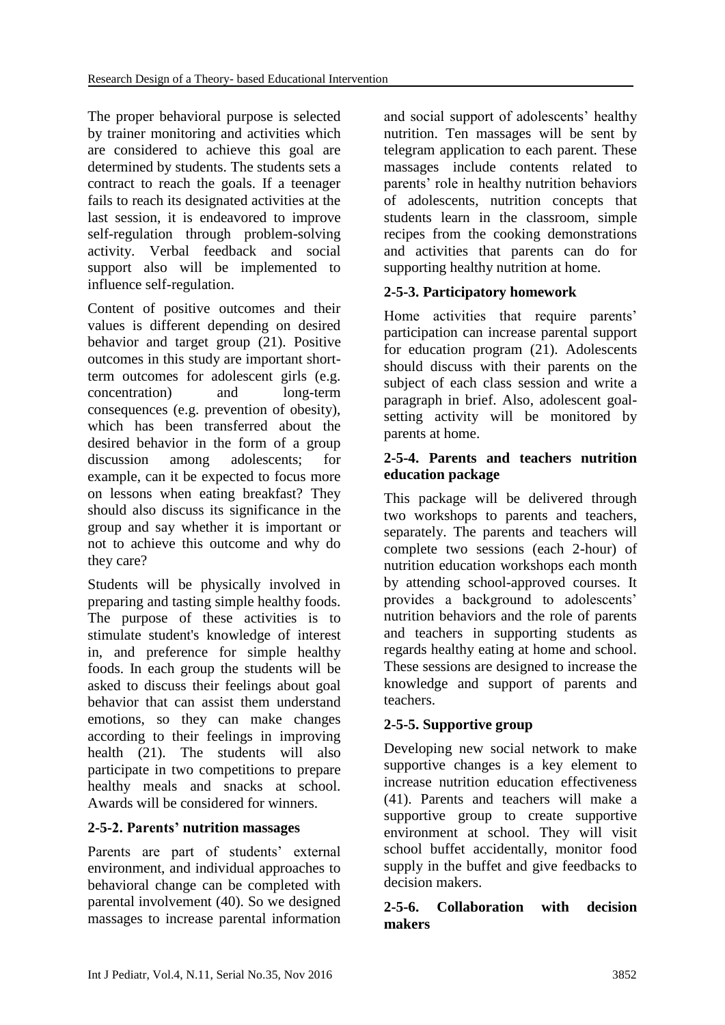The proper behavioral purpose is selected by trainer monitoring and activities which are considered to achieve this goal are determined by students. The students sets a contract to reach the goals. If a teenager fails to reach its designated activities at the last session, it is endeavored to improve self-regulation through problem-solving activity. Verbal feedback and social support also will be implemented to influence self-regulation.

Content of positive outcomes and their values is different depending on desired behavior and target group (21). Positive outcomes in this study are important shortterm outcomes for adolescent girls (e.g. concentration) and long-term consequences (e.g. prevention of obesity), which has been transferred about the desired behavior in the form of a group discussion among adolescents; for example, can it be expected to focus more on lessons when eating breakfast? They should also discuss its significance in the group and say whether it is important or not to achieve this outcome and why do they care?

Students will be physically involved in preparing and tasting simple healthy foods. The purpose of these activities is to stimulate student's knowledge of interest in, and preference for simple healthy foods. In each group the students will be asked to discuss their feelings about goal behavior that can assist them understand emotions, so they can make changes according to their feelings in improving health (21). The students will also participate in two competitions to prepare healthy meals and snacks at school. Awards will be considered for winners.

# **2-5-2. Parents' nutrition massages**

Parents are part of students' external environment, and individual approaches to behavioral change can be completed with parental involvement (40). So we designed massages to increase parental information and social support of adolescents' healthy nutrition. Ten massages will be sent by telegram application to each parent. These massages include contents related to parents' role in healthy nutrition behaviors of adolescents, nutrition concepts that students learn in the classroom, simple recipes from the cooking demonstrations and activities that parents can do for supporting healthy nutrition at home.

# **2-5-3. Participatory homework**

Home activities that require parents' participation can increase parental support for education program (21). Adolescents should discuss with their parents on the subject of each class session and write a paragraph in brief. Also, adolescent goalsetting activity will be monitored by parents at home.

#### **2-5-4. Parents and teachers nutrition education package**

This package will be delivered through two workshops to parents and teachers, separately. The parents and teachers will complete two sessions (each 2-hour) of nutrition education workshops each month by attending school-approved courses. It provides a background to adolescents' nutrition behaviors and the role of parents and teachers in supporting students as regards healthy eating at home and school. These sessions are designed to increase the knowledge and support of parents and teachers.

# **2-5-5. Supportive group**

Developing new social network to make supportive changes is a key element to increase nutrition education effectiveness (41). Parents and teachers will make a supportive group to create supportive environment at school. They will visit school buffet accidentally, monitor food supply in the buffet and give feedbacks to decision makers.

### **2-5-6. Collaboration with decision makers**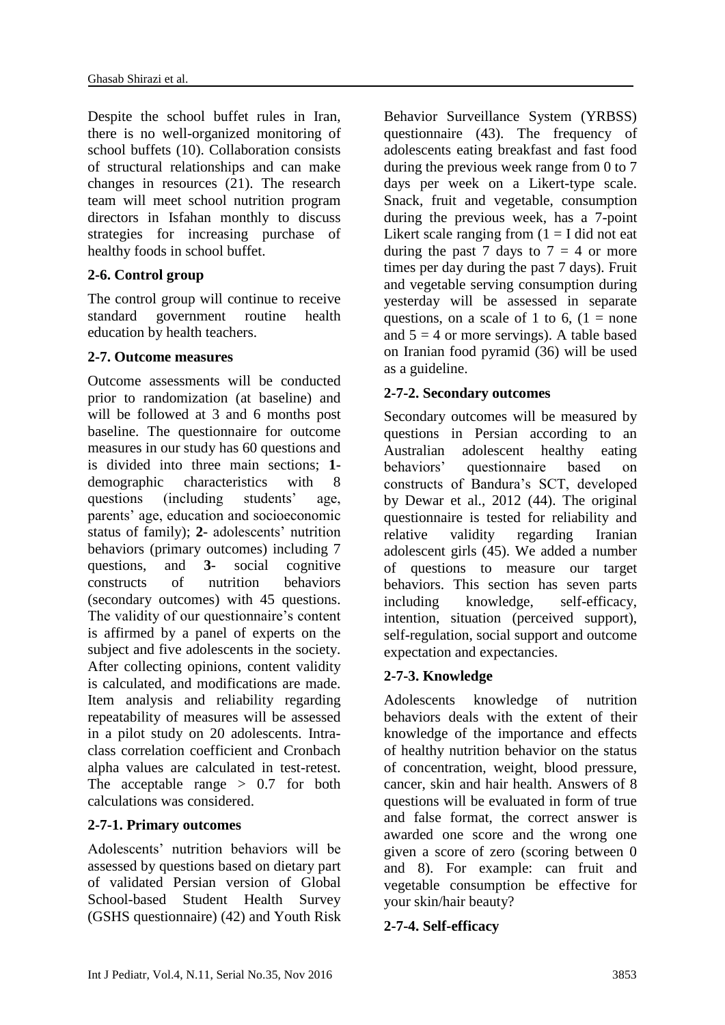Despite the school buffet rules in Iran, there is no well-organized monitoring of school buffets (10). Collaboration consists of structural relationships and can make changes in resources (21). The research team will meet school nutrition program directors in Isfahan monthly to discuss strategies for increasing purchase of healthy foods in school buffet.

# **2-6. Control group**

The control group will continue to receive standard government routine health education by health teachers.

### **2-7. Outcome measures**

Outcome assessments will be conducted prior to randomization (at baseline) and will be followed at 3 and 6 months post baseline. The questionnaire for outcome measures in our study has 60 questions and is divided into three main sections; **1** demographic characteristics with 8 questions (including students' age, parents' age, education and socioeconomic status of family); **2**- adolescents' nutrition behaviors (primary outcomes) including 7 questions, and **3**- social cognitive constructs of nutrition behaviors (secondary outcomes) with 45 questions. The validity of our questionnaire's content is affirmed by a panel of experts on the subject and five adolescents in the society. After collecting opinions, content validity is calculated, and modifications are made. Item analysis and reliability regarding repeatability of measures will be assessed in a pilot study on 20 adolescents. Intraclass correlation coefficient and Cronbach alpha values are calculated in test-retest. The acceptable range  $> 0.7$  for both calculations was considered.

# **2-7-1. Primary outcomes**

Adolescents' nutrition behaviors will be assessed by questions based on dietary part of validated Persian version of Global School-based Student Health Survey (GSHS questionnaire) (42) and Youth Risk Behavior Surveillance System (YRBSS) questionnaire (43). The frequency of adolescents eating breakfast and fast food during the previous week range from 0 to 7 days per week on a Likert-type scale. Snack, fruit and vegetable, consumption during the previous week, has a 7-point Likert scale ranging from  $(1 = I$  did not eat during the past 7 days to  $7 = 4$  or more times per day during the past 7 days). Fruit and vegetable serving consumption during yesterday will be assessed in separate questions, on a scale of 1 to 6,  $(1 = none$ and  $5 = 4$  or more servings). A table based on Iranian food pyramid (36) will be used as a guideline.

# **2-7-2. Secondary outcomes**

Secondary outcomes will be measured by questions in Persian according to an Australian adolescent healthy eating behaviors' questionnaire based on constructs of Bandura's SCT, developed by Dewar et al., 2012 (44). The original questionnaire is tested for reliability and relative validity regarding Iranian adolescent girls (45). We added a number of questions to measure our target behaviors. This section has seven parts including knowledge, self-efficacy, intention, situation (perceived support), self-regulation, social support and outcome expectation and expectancies.

# **2-7-3. Knowledge**

Adolescents knowledge of nutrition behaviors deals with the extent of their knowledge of the importance and effects of healthy nutrition behavior on the status of concentration, weight, blood pressure, cancer, skin and hair health. Answers of 8 questions will be evaluated in form of true and false format, the correct answer is awarded one score and the wrong one given a score of zero (scoring between 0 and 8). For example: can fruit and vegetable consumption be effective for your skin/hair beauty?

### **2-7-4. Self-efficacy**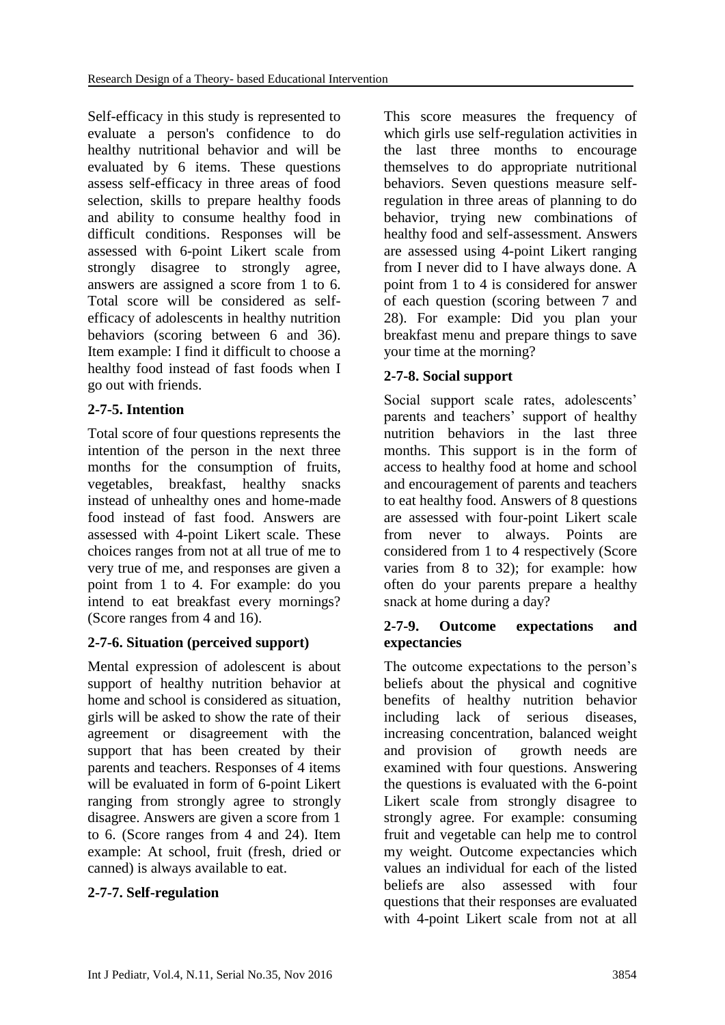Self-efficacy in this study is represented to evaluate a person's confidence to do healthy nutritional behavior and will be evaluated by 6 items. These questions assess self-efficacy in three areas of food selection, skills to prepare healthy foods and ability to consume healthy food in difficult conditions. Responses will be assessed with 6-point Likert scale from strongly disagree to strongly agree, answers are assigned a score from 1 to 6. Total score will be considered as selfefficacy of adolescents in healthy nutrition behaviors (scoring between 6 and 36). Item example: I find it difficult to choose a healthy food instead of fast foods when I go out with friends.

# **2-7-5. Intention**

Total score of four questions represents the intention of the person in the next three months for the consumption of fruits, vegetables, breakfast, healthy snacks instead of unhealthy ones and home-made food instead of fast food. Answers are assessed with 4-point Likert scale. These choices ranges from not at all true of me to very true of me, and responses are given a point from 1 to 4. For example: do you intend to eat breakfast every mornings? (Score ranges from 4 and 16).

# **2-7-6. Situation (perceived support)**

Mental expression of adolescent is about support of healthy nutrition behavior at home and school is considered as situation, girls will be asked to show the rate of their agreement or disagreement with the support that has been created by their parents and teachers. Responses of 4 items will be evaluated in form of 6-point Likert ranging from strongly agree to strongly disagree. Answers are given a score from 1 to 6. (Score ranges from 4 and 24). Item example: At school, fruit (fresh, dried or canned) is always available to eat.

# **2-7-7. Self-regulation**

This score measures the frequency of which girls use self-regulation activities in the last three months to encourage themselves to do appropriate nutritional behaviors. Seven questions measure selfregulation in three areas of planning to do behavior, trying new combinations of healthy food and self-assessment. Answers are assessed using 4-point Likert ranging from I never did to I have always done. A point from 1 to 4 is considered for answer of each question (scoring between 7 and 28). For example: Did you plan your breakfast menu and prepare things to save your time at the morning?

# **2-7-8. Social support**

Social support scale rates, adolescents' parents and teachers' support of healthy nutrition behaviors in the last three months. This support is in the form of access to healthy food at home and school and encouragement of parents and teachers to eat healthy food. Answers of 8 questions are assessed with four-point Likert scale from never to always. Points are considered from 1 to 4 respectively (Score varies from 8 to 32); for example: how often do your parents prepare a healthy snack at home during a day?

### **2-7-9. Outcome expectations and expectancies**

The outcome expectations to the person's beliefs about the physical and cognitive benefits of healthy nutrition behavior including lack of serious diseases, increasing concentration, balanced weight and provision of growth needs are examined with four questions. Answering the questions is evaluated with the 6-point Likert scale from strongly disagree to strongly agree. For example: consuming fruit and vegetable can help me to control my weight*.* Outcome expectancies which values an individual for each of the listed beliefs are also assessed with four questions that their responses are evaluated with 4-point Likert scale from not at all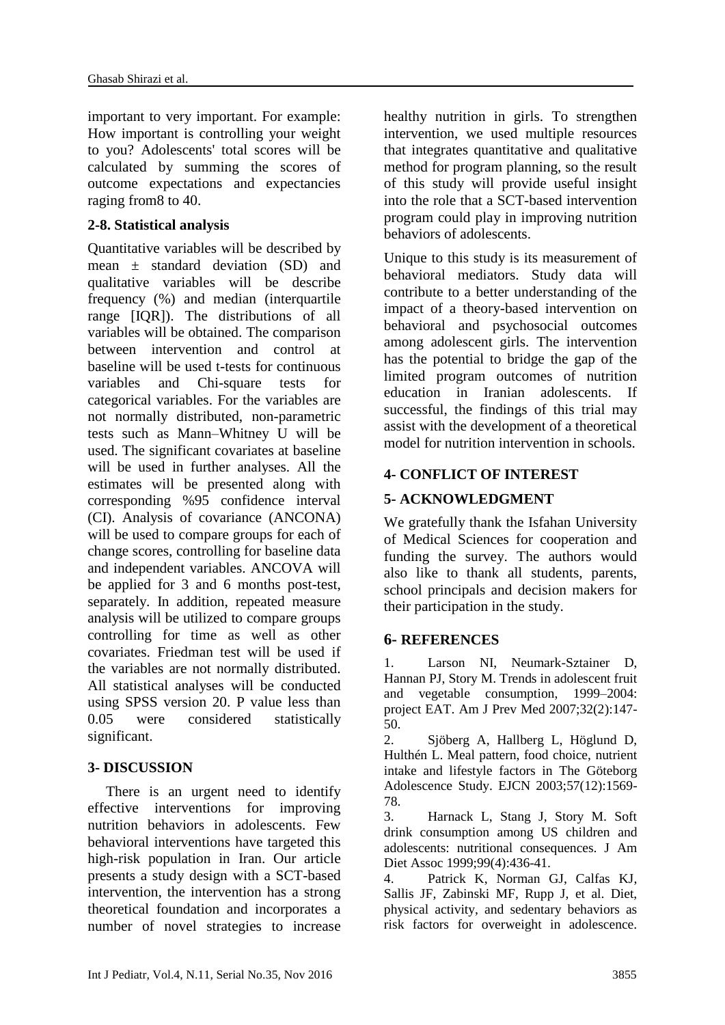important to very important. For example: How important is controlling your weight to you? Adolescents' total scores will be calculated by summing the scores of outcome expectations and expectancies raging from8 to 40.

#### **2-8. Statistical analysis**

Quantitative variables will be described by mean  $\pm$  standard deviation (SD) and qualitative variables will be describe frequency (%) and median (interquartile range [IQR]). The distributions of all variables will be obtained. The comparison between intervention and control at baseline will be used t-tests for continuous variables and Chi-square tests for categorical variables. For the variables are not normally distributed, non-parametric tests such as Mann–Whitney U will be used. The significant covariates at baseline will be used in further analyses. All the estimates will be presented along with corresponding %95 confidence interval (CI). Analysis of covariance (ANCONA) will be used to compare groups for each of change scores, controlling for baseline data and independent variables. ANCOVA will be applied for 3 and 6 months post-test, separately. In addition, repeated measure analysis will be utilized to compare groups controlling for time as well as other covariates. Friedman test will be used if the variables are not normally distributed. All statistical analyses will be conducted using SPSS version 20. P value less than 0.05 were considered statistically significant.

### **3- DISCUSSION**

There is an urgent need to identify effective interventions for improving nutrition behaviors in adolescents. Few behavioral interventions have targeted this high-risk population in Iran. Our article presents a study design with a SCT-based intervention, the intervention has a strong theoretical foundation and incorporates a number of novel strategies to increase healthy nutrition in girls. To strengthen intervention, we used multiple resources that integrates quantitative and qualitative method for program planning, so the result of this study will provide useful insight into the role that a SCT-based intervention program could play in improving nutrition behaviors of adolescents.

Unique to this study is its measurement of behavioral mediators. Study data will contribute to a better understanding of the impact of a theory-based intervention on behavioral and psychosocial outcomes among adolescent girls. The intervention has the potential to bridge the gap of the limited program outcomes of nutrition education in Iranian adolescents. If successful, the findings of this trial may assist with the development of a theoretical model for nutrition intervention in schools.

#### **4- CONFLICT OF INTEREST**

#### **5- ACKNOWLEDGMENT**

We gratefully thank the Isfahan University of Medical Sciences for cooperation and funding the survey. The authors would also like to thank all students, parents, school principals and decision makers for their participation in the study.

#### **6- REFERENCES**

1. Larson NI, Neumark-Sztainer D, Hannan PJ, Story M. Trends in adolescent fruit and vegetable consumption, 1999–2004: project EAT. Am J Prev Med 2007;32(2):147- 50.

2. Sjöberg A, Hallberg L, Höglund D, Hulthén L. Meal pattern, food choice, nutrient intake and lifestyle factors in The Göteborg Adolescence Study. EJCN 2003;57(12):1569- 78.

3. Harnack L, Stang J, Story M. Soft drink consumption among US children and adolescents: nutritional consequences. J Am Diet Assoc 1999;99(4):436-41.

4. Patrick K, Norman GJ, Calfas KJ, Sallis JF, Zabinski MF, Rupp J, et al. Diet, physical activity, and sedentary behaviors as risk factors for overweight in adolescence.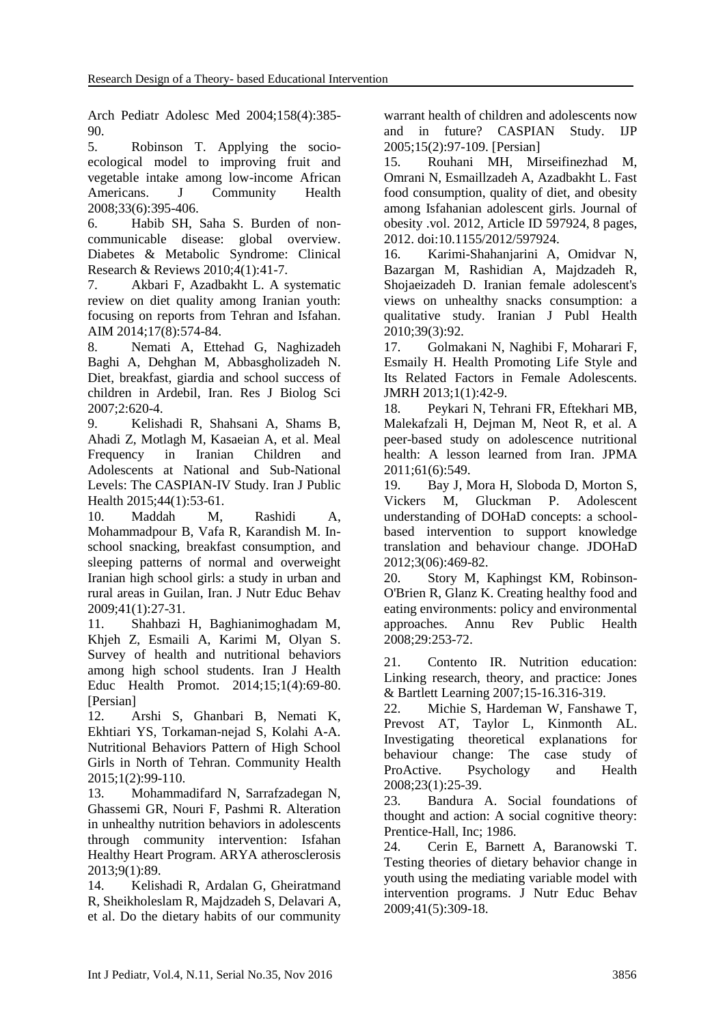Arch Pediatr Adolesc Med 2004;158(4):385- 90.

5. Robinson T. Applying the socioecological model to improving fruit and vegetable intake among low-income African Americans. J Community Health 2008;33(6):395-406.

6. Habib SH, Saha S. Burden of noncommunicable disease: global overview. Diabetes & Metabolic Syndrome: Clinical Research & Reviews 2010;4(1):41-7.

7. Akbari F, Azadbakht L. A systematic review on diet quality among Iranian youth: focusing on reports from Tehran and Isfahan. AIM 2014;17(8):574-84.

8. Nemati A, Ettehad G, Naghizadeh Baghi A, Dehghan M, Abbasgholizadeh N. Diet, breakfast, giardia and school success of children in Ardebil, Iran. Res J Biolog Sci 2007;2:620-4.

9. Kelishadi R, Shahsani A, Shams B, Ahadi Z, Motlagh M, Kasaeian A, et al. Meal Frequency in Iranian Children and Adolescents at National and Sub-National Levels: The CASPIAN-IV Study. Iran J Public Health 2015;44(1):53-61.

10. Maddah M, Rashidi A, Mohammadpour B, Vafa R, Karandish M. Inschool snacking, breakfast consumption, and sleeping patterns of normal and overweight Iranian high school girls: a study in urban and rural areas in Guilan, Iran. J Nutr Educ Behav 2009;41(1):27-31.

11. Shahbazi H, Baghianimoghadam M, Khjeh Z, Esmaili A, Karimi M, Olyan S. Survey of health and nutritional behaviors among high school students. Iran J Health Educ Health Promot. 2014;15;1(4):69-80. [Persian]

12. Arshi S, Ghanbari B, Nemati K, Ekhtiari YS, Torkaman-nejad S, Kolahi A-A. Nutritional Behaviors Pattern of High School Girls in North of Tehran. Community Health 2015;1(2):99-110.

13. Mohammadifard N, Sarrafzadegan N, Ghassemi GR, Nouri F, Pashmi R. Alteration in unhealthy nutrition behaviors in adolescents through community intervention: Isfahan Healthy Heart Program. ARYA atherosclerosis 2013;9(1):89.

14. Kelishadi R, Ardalan G, Gheiratmand R, Sheikholeslam R, Majdzadeh S, Delavari A, et al. Do the dietary habits of our community

warrant health of children and adolescents now and in future? CASPIAN Study. IJP 2005;15(2):97-109. [Persian]

15. Rouhani MH, Mirseifinezhad M, Omrani N, Esmaillzadeh A, Azadbakht L. Fast food consumption, quality of diet, and obesity among Isfahanian adolescent girls. Journal of obesity .vol. 2012, Article ID 597924, 8 pages, 2012. doi:10.1155/2012/597924.

16. Karimi-Shahanjarini A, Omidvar N, Bazargan M, Rashidian A, Majdzadeh R, Shojaeizadeh D. Iranian female adolescent's views on unhealthy snacks consumption: a qualitative study. Iranian J Publ Health 2010;39(3):92.

17. Golmakani N, Naghibi F, Moharari F, Esmaily H. Health Promoting Life Style and Its Related Factors in Female Adolescents. JMRH 2013;1(1):42-9.

18. Peykari N, Tehrani FR, Eftekhari MB, Malekafzali H, Dejman M, Neot R, et al. A peer-based study on adolescence nutritional health: A lesson learned from Iran. JPMA 2011;61(6):549.

19. Bay J, Mora H, Sloboda D, Morton S, Vickers M, Gluckman P. Adolescent understanding of DOHaD concepts: a schoolbased intervention to support knowledge translation and behaviour change. JDOHaD 2012;3(06):469-82.

20. Story M, Kaphingst KM, Robinson-O'Brien R, Glanz K. Creating healthy food and eating environments: policy and environmental approaches. Annu Rev Public Health 2008;29:253-72.

21. Contento IR. Nutrition education: Linking research, theory, and practice: Jones & Bartlett Learning 2007;15-16.316-319.

22. Michie S, Hardeman W, Fanshawe T, Prevost AT, Taylor L, Kinmonth AL. Investigating theoretical explanations for behaviour change: The case study of ProActive. Psychology and Health 2008;23(1):25-39.

23. Bandura A. Social foundations of thought and action: A social cognitive theory: Prentice-Hall, Inc; 1986.

24. Cerin E, Barnett A, Baranowski T. Testing theories of dietary behavior change in youth using the mediating variable model with intervention programs. J Nutr Educ Behav 2009;41(5):309-18.